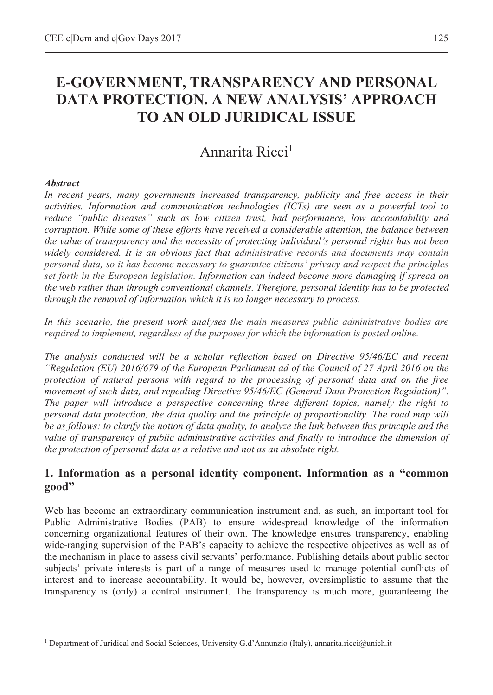# **E-GOVERNMENT, TRANSPARENCY AND PERSONAL DATA PROTECTION. A NEW ANALYSIS' APPROACH TO AN OLD JURIDICAL ISSUE**

# Annarita Ricci<sup>1</sup>

#### *Abstract*

 $\overline{a}$ 

*In recent years, many governments increased transparency, publicity and free access in their activities. Information and communication technologies (ICTs) are seen as a powerful tool to reduce "public diseases" such as low citizen trust, bad performance, low accountability and corruption. While some of these efforts have received a considerable attention, the balance between the value of transparency and the necessity of protecting individual's personal rights has not been widely considered. It is an obvious fact that administrative records and documents may contain personal data, so it has become necessary to guarantee citizens' privacy and respect the principles set forth in the European legislation. Information can indeed become more damaging if spread on the web rather than through conventional channels. Therefore, personal identity has to be protected through the removal of information which it is no longer necessary to process.* 

*In this scenario, the present work analyses the main measures public administrative bodies are required to implement, regardless of the purposes for which the information is posted online.* 

*The analysis conducted will be a scholar reflection based on Directive 95/46/EC and recent "Regulation (EU) 2016/679 of the European Parliament ad of the Council of 27 April 2016 on the protection of natural persons with regard to the processing of personal data and on the free movement of such data, and repealing Directive 95/46/EC (General Data Protection Regulation)". The paper will introduce a perspective concerning three different topics, namely the right to personal data protection, the data quality and the principle of proportionality. The road map will be as follows: to clarify the notion of data quality, to analyze the link between this principle and the value of transparency of public administrative activities and finally to introduce the dimension of the protection of personal data as a relative and not as an absolute right.* 

#### **1. Information as a personal identity component. Information as a "common good"**

Web has become an extraordinary communication instrument and, as such, an important tool for Public Administrative Bodies (PAB) to ensure widespread knowledge of the information concerning organizational features of their own. The knowledge ensures transparency, enabling wide-ranging supervision of the PAB's capacity to achieve the respective objectives as well as of the mechanism in place to assess civil servants' performance. Publishing details about public sector subjects' private interests is part of a range of measures used to manage potential conflicts of interest and to increase accountability. It would be, however, oversimplistic to assume that the transparency is (only) a control instrument. The transparency is much more, guaranteeing the

<sup>&</sup>lt;sup>1</sup> Department of Juridical and Social Sciences, University G.d'Annunzio (Italy), annarita.ricci@unich.it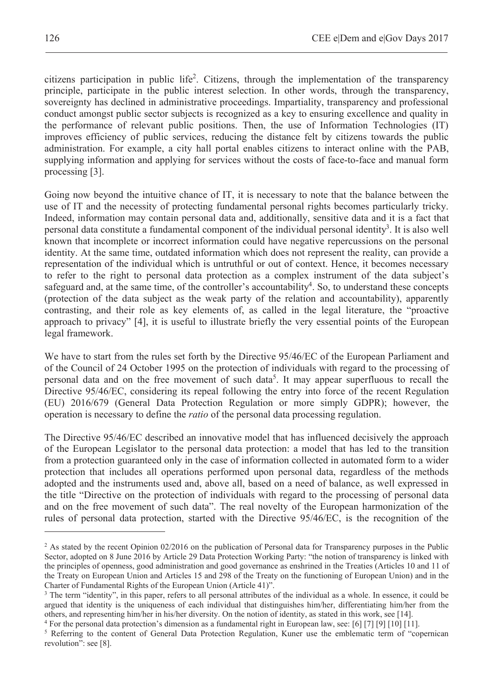citizens participation in public life<sup>2</sup>. Citizens, through the implementation of the transparency principle, participate in the public interest selection. In other words, through the transparency, sovereignty has declined in administrative proceedings. Impartiality, transparency and professional conduct amongst public sector subjects is recognized as a key to ensuring excellence and quality in the performance of relevant public positions. Then, the use of Information Technologies (IT) improves efficiency of public services, reducing the distance felt by citizens towards the public administration. For example, a city hall portal enables citizens to interact online with the PAB, supplying information and applying for services without the costs of face-to-face and manual form processing [3].

Going now beyond the intuitive chance of IT, it is necessary to note that the balance between the use of IT and the necessity of protecting fundamental personal rights becomes particularly tricky. Indeed, information may contain personal data and, additionally, sensitive data and it is a fact that personal data constitute a fundamental component of the individual personal identity<sup>3</sup>. It is also well known that incomplete or incorrect information could have negative repercussions on the personal identity. At the same time, outdated information which does not represent the reality, can provide a representation of the individual which is untruthful or out of context. Hence, it becomes necessary to refer to the right to personal data protection as a complex instrument of the data subject's safeguard and, at the same time, of the controller's accountability<sup>4</sup>. So, to understand these concepts (protection of the data subject as the weak party of the relation and accountability), apparently contrasting, and their role as key elements of, as called in the legal literature, the "proactive approach to privacy" [4], it is useful to illustrate briefly the very essential points of the European legal framework.

We have to start from the rules set forth by the Directive 95/46/EC of the European Parliament and of the Council of 24 October 1995 on the protection of individuals with regard to the processing of personal data and on the free movement of such data<sup>5</sup>. It may appear superfluous to recall the Directive 95/46/EC, considering its repeal following the entry into force of the recent Regulation (EU) 2016/679 (General Data Protection Regulation or more simply GDPR); however, the operation is necessary to define the *ratio* of the personal data processing regulation.

The Directive 95/46/EC described an innovative model that has influenced decisively the approach of the European Legislator to the personal data protection: a model that has led to the transition from a protection guaranteed only in the case of information collected in automated form to a wider protection that includes all operations performed upon personal data, regardless of the methods adopted and the instruments used and, above all, based on a need of balance, as well expressed in the title "Directive on the protection of individuals with regard to the processing of personal data and on the free movement of such data". The real novelty of the European harmonization of the rules of personal data protection, started with the Directive 95/46/EC, is the recognition of the

<sup>&</sup>lt;sup>2</sup> As stated by the recent Opinion 02/2016 on the publication of Personal data for Transparency purposes in the Public Sector, adopted on 8 June 2016 by Article 29 Data Protection Working Party: "the notion of transparency is linked with the principles of openness, good administration and good governance as enshrined in the Treaties (Articles 10 and 11 of the Treaty on European Union and Articles 15 and 298 of the Treaty on the functioning of European Union) and in the Charter of Fundamental Rights of the European Union (Article 41)".

<sup>&</sup>lt;sup>3</sup> The term "identity", in this paper, refers to all personal attributes of the individual as a whole. In essence, it could be argued that identity is the uniqueness of each individual that distinguishes him/her, differentiating him/her from the others, and representing him/her in his/her diversity. On the notion of identity, as stated in this work, see [14]. 4

<sup>&</sup>lt;sup>4</sup> For the personal data protection's dimension as a fundamental right in European law, see: [6] [7] [9] [10] [11].

<sup>&</sup>lt;sup>5</sup> Referring to the content of General Data Protection Regulation, Kuner use the emblematic term of "copernican revolution": see [8].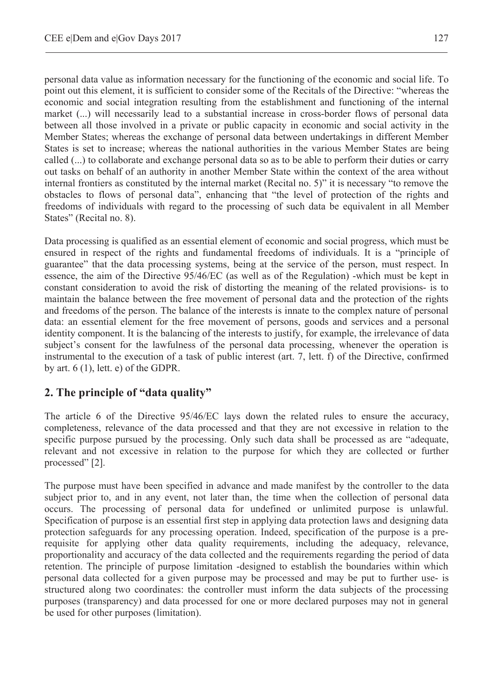personal data value as information necessary for the functioning of the economic and social life. To point out this element, it is sufficient to consider some of the Recitals of the Directive: "whereas the economic and social integration resulting from the establishment and functioning of the internal market (...) will necessarily lead to a substantial increase in cross-border flows of personal data between all those involved in a private or public capacity in economic and social activity in the Member States; whereas the exchange of personal data between undertakings in different Member States is set to increase; whereas the national authorities in the various Member States are being called (...) to collaborate and exchange personal data so as to be able to perform their duties or carry out tasks on behalf of an authority in another Member State within the context of the area without internal frontiers as constituted by the internal market (Recital no. 5)" it is necessary "to remove the obstacles to flows of personal data", enhancing that "the level of protection of the rights and freedoms of individuals with regard to the processing of such data be equivalent in all Member States" (Recital no. 8).

Data processing is qualified as an essential element of economic and social progress, which must be ensured in respect of the rights and fundamental freedoms of individuals. It is a "principle of guarantee" that the data processing systems, being at the service of the person, must respect. In essence, the aim of the Directive 95/46/EC (as well as of the Regulation) -which must be kept in constant consideration to avoid the risk of distorting the meaning of the related provisions- is to maintain the balance between the free movement of personal data and the protection of the rights and freedoms of the person. The balance of the interests is innate to the complex nature of personal data: an essential element for the free movement of persons, goods and services and a personal identity component. It is the balancing of the interests to justify, for example, the irrelevance of data subject's consent for the lawfulness of the personal data processing, whenever the operation is instrumental to the execution of a task of public interest (art. 7, lett. f) of the Directive, confirmed by art. 6 (1), lett. e) of the GDPR.

# **2. The principle of "data quality"**

The article 6 of the Directive 95/46/EC lays down the related rules to ensure the accuracy, completeness, relevance of the data processed and that they are not excessive in relation to the specific purpose pursued by the processing. Only such data shall be processed as are "adequate, relevant and not excessive in relation to the purpose for which they are collected or further processed" [2].

The purpose must have been specified in advance and made manifest by the controller to the data subject prior to, and in any event, not later than, the time when the collection of personal data occurs. The processing of personal data for undefined or unlimited purpose is unlawful. Specification of purpose is an essential first step in applying data protection laws and designing data protection safeguards for any processing operation. Indeed, specification of the purpose is a prerequisite for applying other data quality requirements, including the adequacy, relevance, proportionality and accuracy of the data collected and the requirements regarding the period of data retention. The principle of purpose limitation -designed to establish the boundaries within which personal data collected for a given purpose may be processed and may be put to further use- is structured along two coordinates: the controller must inform the data subjects of the processing purposes (transparency) and data processed for one or more declared purposes may not in general be used for other purposes (limitation).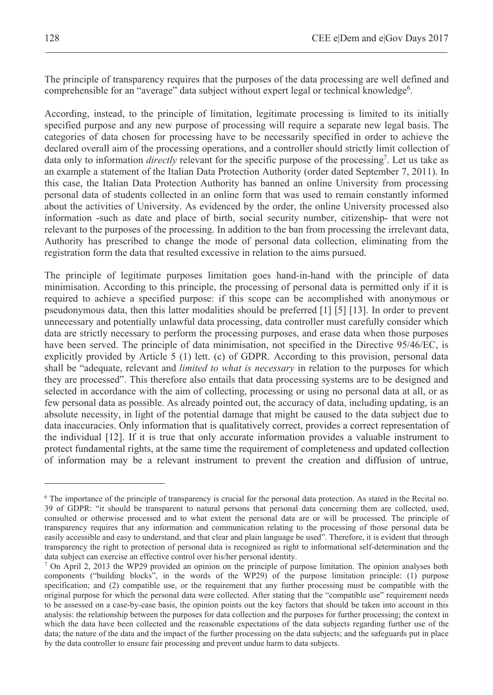The principle of transparency requires that the purposes of the data processing are well defined and comprehensible for an "average" data subject without expert legal or technical knowledge<sup>6</sup>.

According, instead, to the principle of limitation, legitimate processing is limited to its initially specified purpose and any new purpose of processing will require a separate new legal basis. The categories of data chosen for processing have to be necessarily specified in order to achieve the declared overall aim of the processing operations, and a controller should strictly limit collection of data only to information *directly* relevant for the specific purpose of the processing<sup>7</sup>. Let us take as an example a statement of the Italian Data Protection Authority (order dated September 7, 2011). In this case, the Italian Data Protection Authority has banned an online University from processing personal data of students collected in an online form that was used to remain constantly informed about the activities of University. As evidenced by the order, the online University processed also information -such as date and place of birth, social security number, citizenship- that were not relevant to the purposes of the processing. In addition to the ban from processing the irrelevant data, Authority has prescribed to change the mode of personal data collection, eliminating from the registration form the data that resulted excessive in relation to the aims pursued.

The principle of legitimate purposes limitation goes hand-in-hand with the principle of data minimisation. According to this principle, the processing of personal data is permitted only if it is required to achieve a specified purpose: if this scope can be accomplished with anonymous or pseudonymous data, then this latter modalities should be preferred [1] [5] [13]. In order to prevent unnecessary and potentially unlawful data processing, data controller must carefully consider which data are strictly necessary to perform the processing purposes, and erase data when those purposes have been served. The principle of data minimisation, not specified in the Directive 95/46/EC, is explicitly provided by Article 5 (1) lett. (c) of GDPR. According to this provision, personal data shall be "adequate, relevant and *limited to what is necessary* in relation to the purposes for which they are processed". This therefore also entails that data processing systems are to be designed and selected in accordance with the aim of collecting, processing or using no personal data at all, or as few personal data as possible. As already pointed out, the accuracy of data, including updating, is an absolute necessity, in light of the potential damage that might be caused to the data subject due to data inaccuracies. Only information that is qualitatively correct, provides a correct representation of the individual [12]. If it is true that only accurate information provides a valuable instrument to protect fundamental rights, at the same time the requirement of completeness and updated collection of information may be a relevant instrument to prevent the creation and diffusion of untrue,

<sup>6</sup> The importance of the principle of transparency is crucial for the personal data protection. As stated in the Recital no. 39 of GDPR: "it should be transparent to natural persons that personal data concerning them are collected, used, consulted or otherwise processed and to what extent the personal data are or will be processed. The principle of transparency requires that any information and communication relating to the processing of those personal data be easily accessible and easy to understand, and that clear and plain language be used". Therefore, it is evident that through transparency the right to protection of personal data is recognized as right to informational self-determination and the data subject can exercise an effective control over his/her personal identity.

 $\frac{7}{2}$  On April 2, 2013 the WP29 provided an opinion on the principle of purpose limitation. The opinion analyses both components ("building blocks", in the words of the WP29) of the purpose limitation principle: (1) purpose specification; and (2) compatible use, or the requirement that any further processing must be compatible with the original purpose for which the personal data were collected. After stating that the "compatible use" requirement needs to be assessed on a case-by-case basis, the opinion points out the key factors that should be taken into account in this analysis: the relationship between the purposes for data collection and the purposes for further processing; the context in which the data have been collected and the reasonable expectations of the data subjects regarding further use of the data; the nature of the data and the impact of the further processing on the data subjects; and the safeguards put in place by the data controller to ensure fair processing and prevent undue harm to data subjects.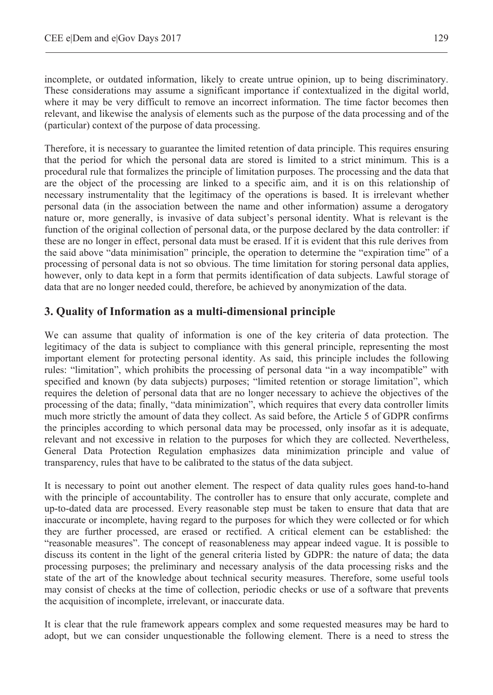incomplete, or outdated information, likely to create untrue opinion, up to being discriminatory. These considerations may assume a significant importance if contextualized in the digital world, where it may be very difficult to remove an incorrect information. The time factor becomes then relevant, and likewise the analysis of elements such as the purpose of the data processing and of the (particular) context of the purpose of data processing.

Therefore, it is necessary to guarantee the limited retention of data principle. This requires ensuring that the period for which the personal data are stored is limited to a strict minimum. This is a procedural rule that formalizes the principle of limitation purposes. The processing and the data that are the object of the processing are linked to a specific aim, and it is on this relationship of necessary instrumentality that the legitimacy of the operations is based. It is irrelevant whether personal data (in the association between the name and other information) assume a derogatory nature or, more generally, is invasive of data subject's personal identity. What is relevant is the function of the original collection of personal data, or the purpose declared by the data controller: if these are no longer in effect, personal data must be erased. If it is evident that this rule derives from the said above "data minimisation" principle, the operation to determine the "expiration time" of a processing of personal data is not so obvious. The time limitation for storing personal data applies, however, only to data kept in a form that permits identification of data subjects. Lawful storage of data that are no longer needed could, therefore, be achieved by anonymization of the data.

#### **3. Quality of Information as a multi-dimensional principle**

We can assume that quality of information is one of the key criteria of data protection. The legitimacy of the data is subject to compliance with this general principle, representing the most important element for protecting personal identity. As said, this principle includes the following rules: "limitation", which prohibits the processing of personal data "in a way incompatible" with specified and known (by data subjects) purposes; "limited retention or storage limitation", which requires the deletion of personal data that are no longer necessary to achieve the objectives of the processing of the data; finally, "data minimization", which requires that every data controller limits much more strictly the amount of data they collect. As said before, the Article 5 of GDPR confirms the principles according to which personal data may be processed, only insofar as it is adequate, relevant and not excessive in relation to the purposes for which they are collected. Nevertheless, General Data Protection Regulation emphasizes data minimization principle and value of transparency, rules that have to be calibrated to the status of the data subject.

It is necessary to point out another element. The respect of data quality rules goes hand-to-hand with the principle of accountability. The controller has to ensure that only accurate, complete and up-to-dated data are processed. Every reasonable step must be taken to ensure that data that are inaccurate or incomplete, having regard to the purposes for which they were collected or for which they are further processed, are erased or rectified. A critical element can be established: the "reasonable measures". The concept of reasonableness may appear indeed vague. It is possible to discuss its content in the light of the general criteria listed by GDPR: the nature of data; the data processing purposes; the preliminary and necessary analysis of the data processing risks and the state of the art of the knowledge about technical security measures. Therefore, some useful tools may consist of checks at the time of collection, periodic checks or use of a software that prevents the acquisition of incomplete, irrelevant, or inaccurate data.

It is clear that the rule framework appears complex and some requested measures may be hard to adopt, but we can consider unquestionable the following element. There is a need to stress the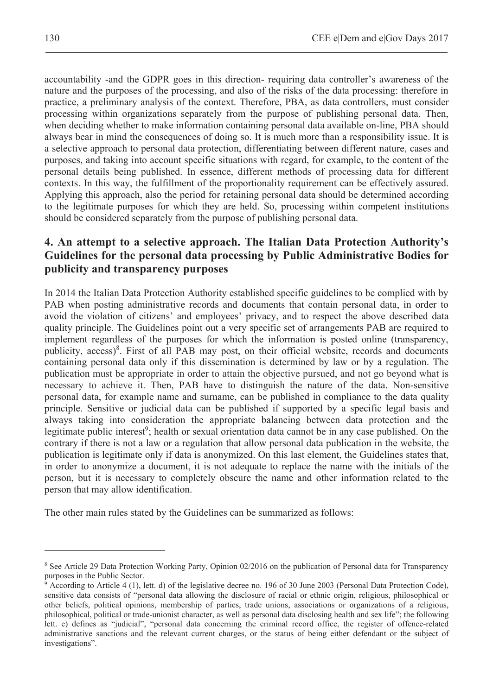accountability -and the GDPR goes in this direction- requiring data controller's awareness of the nature and the purposes of the processing, and also of the risks of the data processing: therefore in practice, a preliminary analysis of the context. Therefore, PBA, as data controllers, must consider processing within organizations separately from the purpose of publishing personal data. Then, when deciding whether to make information containing personal data available on-line, PBA should always bear in mind the consequences of doing so. It is much more than a responsibility issue. It is a selective approach to personal data protection, differentiating between different nature, cases and purposes, and taking into account specific situations with regard, for example, to the content of the personal details being published. In essence, different methods of processing data for different contexts. In this way, the fulfillment of the proportionality requirement can be effectively assured. Applying this approach, also the period for retaining personal data should be determined according to the legitimate purposes for which they are held. So, processing within competent institutions should be considered separately from the purpose of publishing personal data.

# **4. An attempt to a selective approach. The Italian Data Protection Authority's Guidelines for the personal data processing by Public Administrative Bodies for publicity and transparency purposes**

In 2014 the Italian Data Protection Authority established specific guidelines to be complied with by PAB when posting administrative records and documents that contain personal data, in order to avoid the violation of citizens' and employees' privacy, and to respect the above described data quality principle. The Guidelines point out a very specific set of arrangements PAB are required to implement regardless of the purposes for which the information is posted online (transparency, publicity, access)<sup>8</sup>. First of all PAB may post, on their official website, records and documents containing personal data only if this dissemination is determined by law or by a regulation. The publication must be appropriate in order to attain the objective pursued, and not go beyond what is necessary to achieve it. Then, PAB have to distinguish the nature of the data. Non-sensitive personal data, for example name and surname, can be published in compliance to the data quality principle. Sensitive or judicial data can be published if supported by a specific legal basis and always taking into consideration the appropriate balancing between data protection and the legitimate public interest<sup>9</sup>; health or sexual orientation data cannot be in any case published. On the contrary if there is not a law or a regulation that allow personal data publication in the website, the publication is legitimate only if data is anonymized. On this last element, the Guidelines states that, in order to anonymize a document, it is not adequate to replace the name with the initials of the person, but it is necessary to completely obscure the name and other information related to the person that may allow identification.

The other main rules stated by the Guidelines can be summarized as follows:

<sup>&</sup>lt;sup>8</sup> See Article 29 Data Protection Working Party, Opinion 02/2016 on the publication of Personal data for Transparency purposes in the Public Sector.

<sup>9</sup> According to Article 4 (1), lett. d) of the legislative decree no. 196 of 30 June 2003 (Personal Data Protection Code), sensitive data consists of "personal data allowing the disclosure of racial or ethnic origin, religious, philosophical or other beliefs, political opinions, membership of parties, trade unions, associations or organizations of a religious, philosophical, political or trade-unionist character, as well as personal data disclosing health and sex life"; the following lett. e) defines as "judicial", "personal data concerning the criminal record office, the register of offence-related administrative sanctions and the relevant current charges, or the status of being either defendant or the subject of investigations".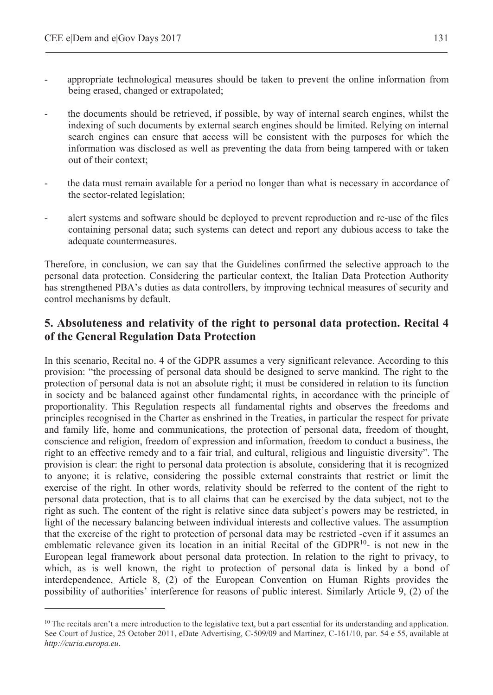$\overline{a}$ 

- appropriate technological measures should be taken to prevent the online information from being erased, changed or extrapolated;
- the documents should be retrieved, if possible, by way of internal search engines, whilst the indexing of such documents by external search engines should be limited. Relying on internal search engines can ensure that access will be consistent with the purposes for which the information was disclosed as well as preventing the data from being tampered with or taken out of their context;
- the data must remain available for a period no longer than what is necessary in accordance of the sector-related legislation;
- alert systems and software should be deployed to prevent reproduction and re-use of the files containing personal data; such systems can detect and report any dubious access to take the adequate countermeasures.

Therefore, in conclusion, we can say that the Guidelines confirmed the selective approach to the personal data protection. Considering the particular context, the Italian Data Protection Authority has strengthened PBA's duties as data controllers, by improving technical measures of security and control mechanisms by default.

### **5. Absoluteness and relativity of the right to personal data protection. Recital 4 of the General Regulation Data Protection**

In this scenario, Recital no. 4 of the GDPR assumes a very significant relevance. According to this provision: "the processing of personal data should be designed to serve mankind. The right to the protection of personal data is not an absolute right; it must be considered in relation to its function in society and be balanced against other fundamental rights, in accordance with the principle of proportionality. This Regulation respects all fundamental rights and observes the freedoms and principles recognised in the Charter as enshrined in the Treaties, in particular the respect for private and family life, home and communications, the protection of personal data, freedom of thought, conscience and religion, freedom of expression and information, freedom to conduct a business, the right to an effective remedy and to a fair trial, and cultural, religious and linguistic diversity". The provision is clear: the right to personal data protection is absolute, considering that it is recognized to anyone; it is relative, considering the possible external constraints that restrict or limit the exercise of the right. In other words, relativity should be referred to the content of the right to personal data protection, that is to all claims that can be exercised by the data subject, not to the right as such. The content of the right is relative since data subject's powers may be restricted, in light of the necessary balancing between individual interests and collective values. The assumption that the exercise of the right to protection of personal data may be restricted -even if it assumes an emblematic relevance given its location in an initial Recital of the GDPR $10$ - is not new in the European legal framework about personal data protection. In relation to the right to privacy, to which, as is well known, the right to protection of personal data is linked by a bond of interdependence, Article 8, (2) of the European Convention on Human Rights provides the possibility of authorities' interference for reasons of public interest. Similarly Article 9, (2) of the

<sup>&</sup>lt;sup>10</sup> The recitals aren't a mere introduction to the legislative text, but a part essential for its understanding and application. See Court of Justice, 25 October 2011, eDate Advertising, C-509/09 and Martinez, C-161/10, par. 54 e 55, available at *http://curia.europa.eu*.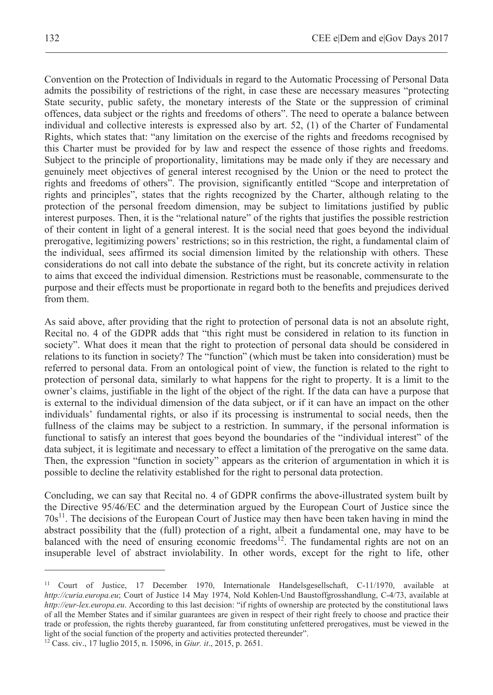Convention on the Protection of Individuals in regard to the Automatic Processing of Personal Data admits the possibility of restrictions of the right, in case these are necessary measures "protecting State security, public safety, the monetary interests of the State or the suppression of criminal offences, data subject or the rights and freedoms of others". The need to operate a balance between individual and collective interests is expressed also by art. 52, (1) of the Charter of Fundamental Rights, which states that: "any limitation on the exercise of the rights and freedoms recognised by this Charter must be provided for by law and respect the essence of those rights and freedoms. Subject to the principle of proportionality, limitations may be made only if they are necessary and genuinely meet objectives of general interest recognised by the Union or the need to protect the rights and freedoms of others". The provision, significantly entitled "Scope and interpretation of rights and principles", states that the rights recognized by the Charter, although relating to the protection of the personal freedom dimension, may be subject to limitations justified by public interest purposes. Then, it is the "relational nature" of the rights that justifies the possible restriction of their content in light of a general interest. It is the social need that goes beyond the individual prerogative, legitimizing powers' restrictions; so in this restriction, the right, a fundamental claim of the individual, sees affirmed its social dimension limited by the relationship with others. These considerations do not call into debate the substance of the right, but its concrete activity in relation to aims that exceed the individual dimension. Restrictions must be reasonable, commensurate to the purpose and their effects must be proportionate in regard both to the benefits and prejudices derived from them.

As said above, after providing that the right to protection of personal data is not an absolute right, Recital no. 4 of the GDPR adds that "this right must be considered in relation to its function in society". What does it mean that the right to protection of personal data should be considered in relations to its function in society? The "function" (which must be taken into consideration) must be referred to personal data. From an ontological point of view, the function is related to the right to protection of personal data, similarly to what happens for the right to property. It is a limit to the owner's claims, justifiable in the light of the object of the right. If the data can have a purpose that is external to the individual dimension of the data subject, or if it can have an impact on the other individuals' fundamental rights, or also if its processing is instrumental to social needs, then the fullness of the claims may be subject to a restriction. In summary, if the personal information is functional to satisfy an interest that goes beyond the boundaries of the "individual interest" of the data subject, it is legitimate and necessary to effect a limitation of the prerogative on the same data. Then, the expression "function in society" appears as the criterion of argumentation in which it is possible to decline the relativity established for the right to personal data protection.

Concluding, we can say that Recital no. 4 of GDPR confirms the above-illustrated system built by the Directive 95/46/EC and the determination argued by the European Court of Justice since the  $70s<sup>11</sup>$ . The decisions of the European Court of Justice may then have been taken having in mind the abstract possibility that the (full) protection of a right, albeit a fundamental one, may have to be balanced with the need of ensuring economic freedoms<sup>12</sup>. The fundamental rights are not on an insuperable level of abstract inviolability. In other words, except for the right to life, other

<sup>11</sup> Court of Justice, 17 December 1970, Internationale Handelsgesellschaft, C-11/1970, available at *http://curia.europa.eu*; Court of Justice 14 May 1974, Nold Kohlen-Und Baustoffgrosshandlung, C-4/73, available at *http://eur-lex.europa.eu*. According to this last decision: "if rights of ownership are protected by the constitutional laws of all the Member States and if similar guarantees are given in respect of their right freely to choose and practice their trade or profession, the rights thereby guaranteed, far from constituting unfettered prerogatives, must be viewed in the light of the social function of the property and activities protected thereunder". 12 Cass. civ., 17 luglio 2015, n. 15096, in *Giur. it*., 2015, p. 2651.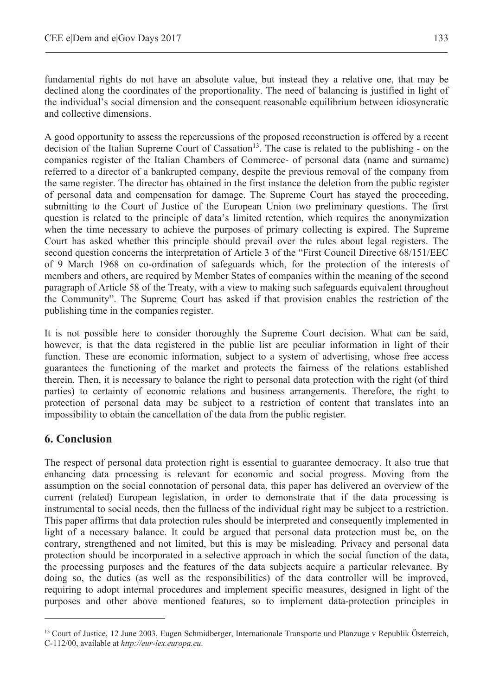fundamental rights do not have an absolute value, but instead they a relative one, that may be declined along the coordinates of the proportionality. The need of balancing is justified in light of the individual's social dimension and the consequent reasonable equilibrium between idiosyncratic and collective dimensions.

A good opportunity to assess the repercussions of the proposed reconstruction is offered by a recent decision of the Italian Supreme Court of Cassation<sup>13</sup>. The case is related to the publishing - on the companies register of the Italian Chambers of Commerce- of personal data (name and surname) referred to a director of a bankrupted company, despite the previous removal of the company from the same register. The director has obtained in the first instance the deletion from the public register of personal data and compensation for damage. The Supreme Court has stayed the proceeding, submitting to the Court of Justice of the European Union two preliminary questions. The first question is related to the principle of data's limited retention, which requires the anonymization when the time necessary to achieve the purposes of primary collecting is expired. The Supreme Court has asked whether this principle should prevail over the rules about legal registers. The second question concerns the interpretation of Article 3 of the "First Council Directive 68/151/EEC of 9 March 1968 on co-ordination of safeguards which, for the protection of the interests of members and others, are required by Member States of companies within the meaning of the second paragraph of Article 58 of the Treaty, with a view to making such safeguards equivalent throughout the Community". The Supreme Court has asked if that provision enables the restriction of the publishing time in the companies register.

It is not possible here to consider thoroughly the Supreme Court decision. What can be said, however, is that the data registered in the public list are peculiar information in light of their function. These are economic information, subject to a system of advertising, whose free access guarantees the functioning of the market and protects the fairness of the relations established therein. Then, it is necessary to balance the right to personal data protection with the right (of third parties) to certainty of economic relations and business arrangements. Therefore, the right to protection of personal data may be subject to a restriction of content that translates into an impossibility to obtain the cancellation of the data from the public register.

# **6. Conclusion**

 $\overline{a}$ 

The respect of personal data protection right is essential to guarantee democracy. It also true that enhancing data processing is relevant for economic and social progress. Moving from the assumption on the social connotation of personal data, this paper has delivered an overview of the current (related) European legislation, in order to demonstrate that if the data processing is instrumental to social needs, then the fullness of the individual right may be subject to a restriction. This paper affirms that data protection rules should be interpreted and consequently implemented in light of a necessary balance. It could be argued that personal data protection must be, on the contrary, strengthened and not limited, but this is may be misleading. Privacy and personal data protection should be incorporated in a selective approach in which the social function of the data, the processing purposes and the features of the data subjects acquire a particular relevance. By doing so, the duties (as well as the responsibilities) of the data controller will be improved, requiring to adopt internal procedures and implement specific measures, designed in light of the purposes and other above mentioned features, so to implement data-protection principles in

<sup>13</sup> Court of Justice, 12 June 2003, Eugen Schmidberger, Internationale Transporte und Planzuge v Republik Österreich, C-112/00, available at *http://eur-lex.europa.eu*.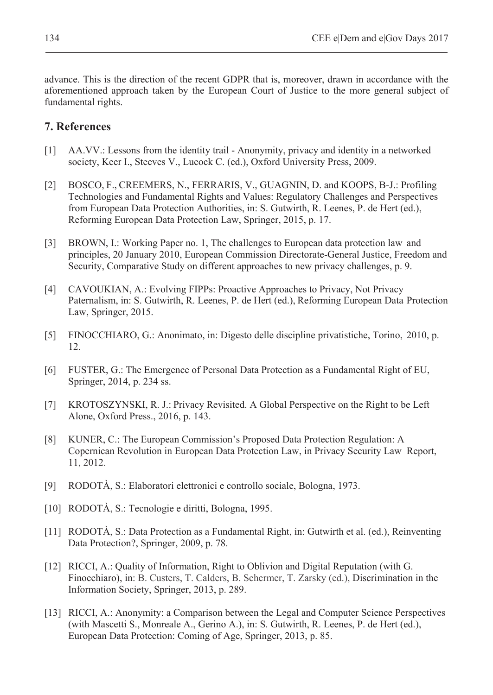advance. This is the direction of the recent GDPR that is, moreover, drawn in accordance with the aforementioned approach taken by the European Court of Justice to the more general subject of fundamental rights.

### **7. References**

- [1] AA.VV.: Lessons from the identity trail Anonymity, privacy and identity in a networked society, Keer I., Steeves V., Lucock C. (ed.), Oxford University Press, 2009.
- [2] BOSCO, F., CREEMERS, N., FERRARIS, V., GUAGNIN, D. and KOOPS, B-J.: Profiling Technologies and Fundamental Rights and Values: Regulatory Challenges and Perspectives from European Data Protection Authorities, in: S. Gutwirth, R. Leenes, P. de Hert (ed.), Reforming European Data Protection Law, Springer, 2015, p. 17.
- [3] BROWN, I.: Working Paper no. 1, The challenges to European data protection law and principles, 20 January 2010, European Commission Directorate-General Justice, Freedom and Security, Comparative Study on different approaches to new privacy challenges, p. 9.
- [4] CAVOUKIAN, A.: Evolving FIPPs: Proactive Approaches to Privacy, Not Privacy Paternalism, in: S. Gutwirth, R. Leenes, P. de Hert (ed.), Reforming European Data Protection Law, Springer, 2015.
- [5] FINOCCHIARO, G.: Anonimato, in: Digesto delle discipline privatistiche, Torino, 2010, p. 12.
- [6] FUSTER, G.: The Emergence of Personal Data Protection as a Fundamental Right of EU, Springer, 2014, p. 234 ss.
- [7] KROTOSZYNSKI, R. J.: Privacy Revisited. A Global Perspective on the Right to be Left Alone, Oxford Press., 2016, p. 143.
- [8] KUNER, C.: The European Commission's Proposed Data Protection Regulation: A Copernican Revolution in European Data Protection Law, in Privacy Security Law Report, 11, 2012.
- [9] RODOTÀ, S.: Elaboratori elettronici e controllo sociale, Bologna, 1973.
- [10] RODOTÀ, S.: Tecnologie e diritti, Bologna, 1995.
- [11] RODOTÀ, S.: Data Protection as a Fundamental Right, in: Gutwirth et al. (ed.), Reinventing Data Protection?, Springer, 2009, p. 78.
- [12] RICCI, A.: Quality of Information, Right to Oblivion and Digital Reputation (with G. Finocchiaro), in: B. Custers, T. Calders, B. Schermer, T. Zarsky (ed.), Discrimination in the Information Society, Springer, 2013, p. 289.
- [13] RICCI, A.: Anonymity: a Comparison between the Legal and Computer Science Perspectives (with Mascetti S., Monreale A., Gerino A.), in: S. Gutwirth, R. Leenes, P. de Hert (ed.), European Data Protection: Coming of Age, Springer, 2013, p. 85.